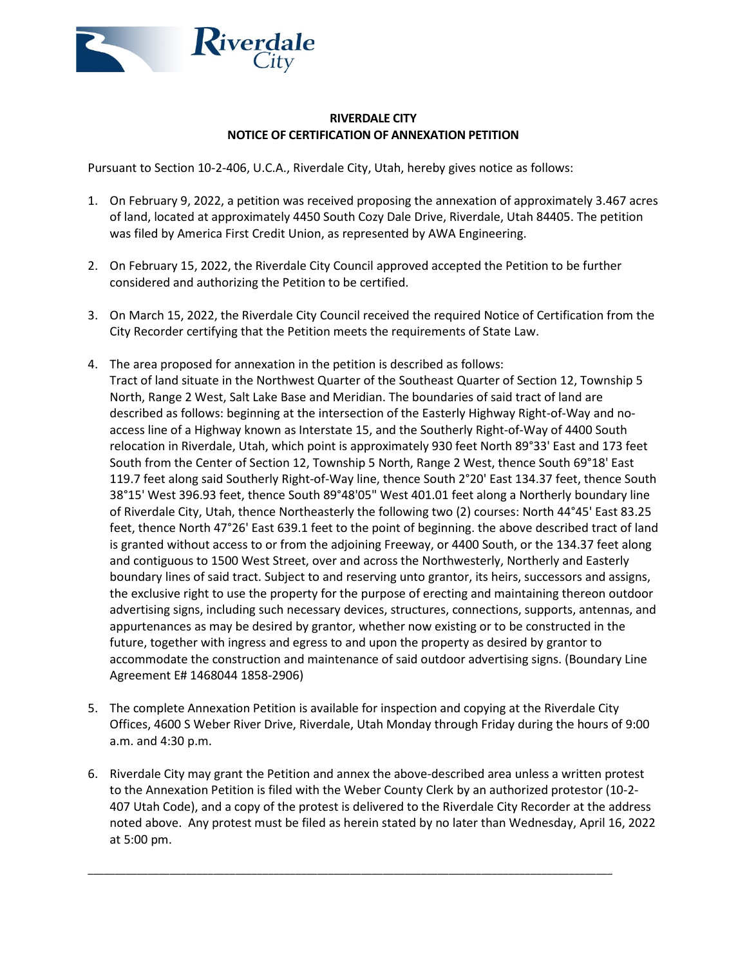

## **RIVERDALE CITY NOTICE OF CERTIFICATION OF ANNEXATION PETITION**

Pursuant to Section 10-2-406, U.C.A., Riverdale City, Utah, hereby gives notice as follows:

- 1. On February 9, 2022, a petition was received proposing the annexation of approximately 3.467 acres of land, located at approximately 4450 South Cozy Dale Drive, Riverdale, Utah 84405. The petition was filed by America First Credit Union, as represented by AWA Engineering.
- 2. On February 15, 2022, the Riverdale City Council approved accepted the Petition to be further considered and authorizing the Petition to be certified.
- 3. On March 15, 2022, the Riverdale City Council received the required Notice of Certification from the City Recorder certifying that the Petition meets the requirements of State Law.
- 4. The area proposed for annexation in the petition is described as follows: Tract of land situate in the Northwest Quarter of the Southeast Quarter of Section 12, Township 5 North, Range 2 West, Salt Lake Base and Meridian. The boundaries of said tract of land are described as follows: beginning at the intersection of the Easterly Highway Right-of-Way and noaccess line of a Highway known as Interstate 15, and the Southerly Right-of-Way of 4400 South relocation in Riverdale, Utah, which point is approximately 930 feet North 89°33' East and 173 feet South from the Center of Section 12, Township 5 North, Range 2 West, thence South 69°18' East 119.7 feet along said Southerly Right-of-Way line, thence South 2°20' East 134.37 feet, thence South 38°15' West 396.93 feet, thence South 89°48'05" West 401.01 feet along a Northerly boundary line of Riverdale City, Utah, thence Northeasterly the following two (2) courses: North 44°45' East 83.25 feet, thence North 47°26' East 639.1 feet to the point of beginning. the above described tract of land is granted without access to or from the adjoining Freeway, or 4400 South, or the 134.37 feet along and contiguous to 1500 West Street, over and across the Northwesterly, Northerly and Easterly boundary lines of said tract. Subject to and reserving unto grantor, its heirs, successors and assigns, the exclusive right to use the property for the purpose of erecting and maintaining thereon outdoor advertising signs, including such necessary devices, structures, connections, supports, antennas, and appurtenances as may be desired by grantor, whether now existing or to be constructed in the future, together with ingress and egress to and upon the property as desired by grantor to accommodate the construction and maintenance of said outdoor advertising signs. (Boundary Line Agreement E# 1468044 1858-2906)
- 5. The complete Annexation Petition is available for inspection and copying at the Riverdale City Offices, 4600 S Weber River Drive, Riverdale, Utah Monday through Friday during the hours of 9:00 a.m. and 4:30 p.m.
- 6. Riverdale City may grant the Petition and annex the above-described area unless a written protest to the Annexation Petition is filed with the Weber County Clerk by an authorized protestor (10-2- 407 Utah Code), and a copy of the protest is delivered to the Riverdale City Recorder at the address noted above. Any protest must be filed as herein stated by no later than Wednesday, April 16, 2022 at 5:00 pm.

\_\_\_\_\_\_\_\_\_\_\_\_\_\_\_\_\_\_\_\_\_\_\_\_\_\_\_\_\_\_\_\_\_\_\_\_\_\_\_\_\_\_\_\_\_\_\_\_\_\_\_\_\_\_\_\_\_\_\_\_\_\_\_\_\_\_\_\_\_\_\_\_\_\_\_\_\_\_\_\_\_\_\_\_\_\_\_\_\_\_\_\_\_\_\_\_